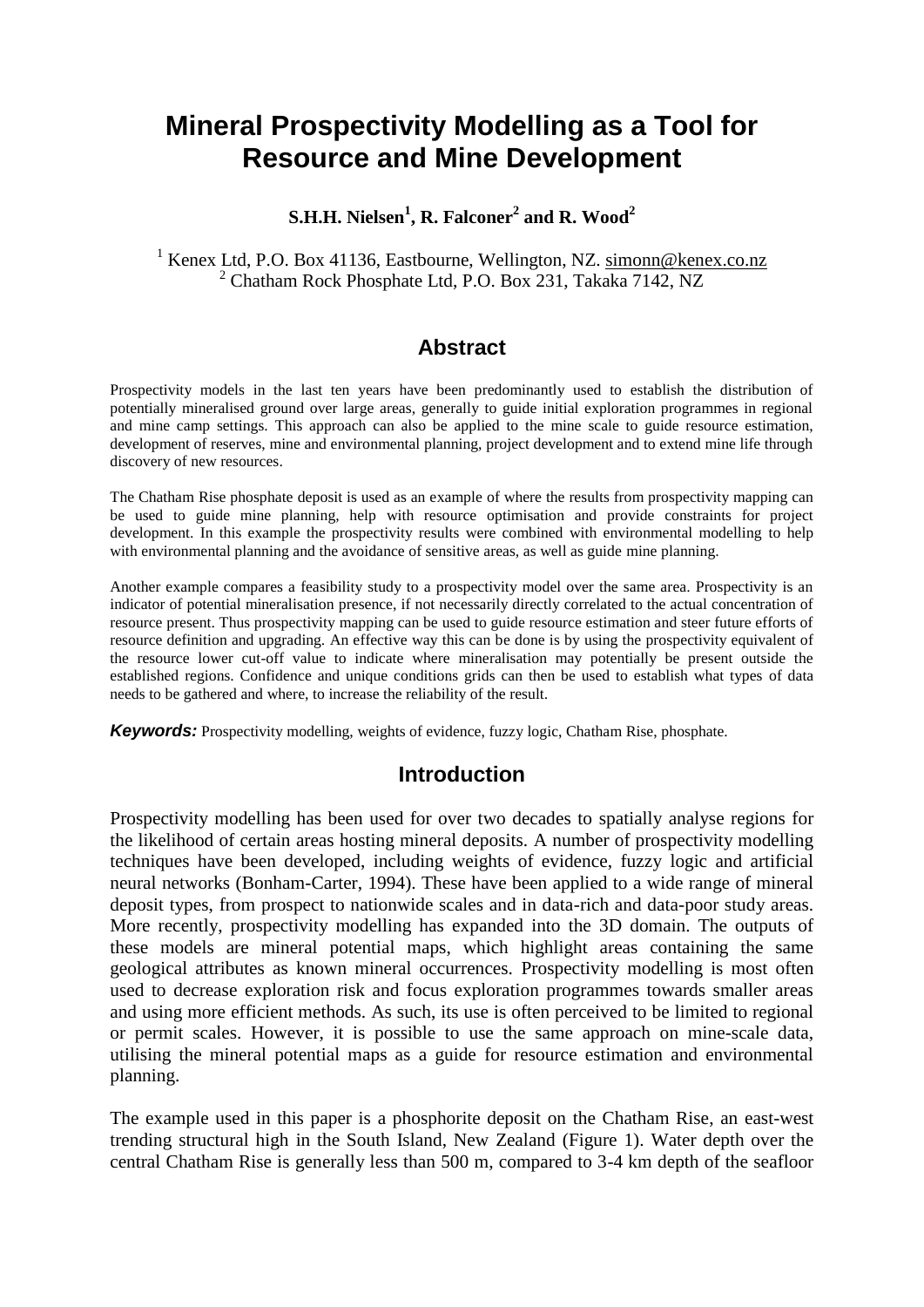# **Mineral Prospectivity Modelling as a Tool for Resource and Mine Development**

### **S.H.H. Nielsen<sup>1</sup> , R. Falconer<sup>2</sup> and R. Wood<sup>2</sup>**

### <sup>1</sup> Kenex Ltd, P.O. Box 41136, Eastbourne, Wellington, NZ. [simonn@kenex.co.nz](mailto:simonn@kenex.co.nz) <sup>2</sup> Chatham Rock Phosphate Ltd, P.O. Box 231, Takaka 7142, NZ

# **Abstract**

Prospectivity models in the last ten years have been predominantly used to establish the distribution of potentially mineralised ground over large areas, generally to guide initial exploration programmes in regional and mine camp settings. This approach can also be applied to the mine scale to guide resource estimation, development of reserves, mine and environmental planning, project development and to extend mine life through discovery of new resources.

The Chatham Rise phosphate deposit is used as an example of where the results from prospectivity mapping can be used to guide mine planning, help with resource optimisation and provide constraints for project development. In this example the prospectivity results were combined with environmental modelling to help with environmental planning and the avoidance of sensitive areas, as well as guide mine planning.

Another example compares a feasibility study to a prospectivity model over the same area. Prospectivity is an indicator of potential mineralisation presence, if not necessarily directly correlated to the actual concentration of resource present. Thus prospectivity mapping can be used to guide resource estimation and steer future efforts of resource definition and upgrading. An effective way this can be done is by using the prospectivity equivalent of the resource lower cut-off value to indicate where mineralisation may potentially be present outside the established regions. Confidence and unique conditions grids can then be used to establish what types of data needs to be gathered and where, to increase the reliability of the result.

*Keywords:* Prospectivity modelling, weights of evidence, fuzzy logic, Chatham Rise, phosphate.

### **Introduction**

Prospectivity modelling has been used for over two decades to spatially analyse regions for the likelihood of certain areas hosting mineral deposits. A number of prospectivity modelling techniques have been developed, including weights of evidence, fuzzy logic and artificial neural networks (Bonham-Carter, 1994). These have been applied to a wide range of mineral deposit types, from prospect to nationwide scales and in data-rich and data-poor study areas. More recently, prospectivity modelling has expanded into the 3D domain. The outputs of these models are mineral potential maps, which highlight areas containing the same geological attributes as known mineral occurrences. Prospectivity modelling is most often used to decrease exploration risk and focus exploration programmes towards smaller areas and using more efficient methods. As such, its use is often perceived to be limited to regional or permit scales. However, it is possible to use the same approach on mine-scale data, utilising the mineral potential maps as a guide for resource estimation and environmental planning.

The example used in this paper is a phosphorite deposit on the Chatham Rise, an east-west trending structural high in the South Island, New Zealand [\(Figure 1\)](#page-1-0). Water depth over the central Chatham Rise is generally less than 500 m, compared to 3-4 km depth of the seafloor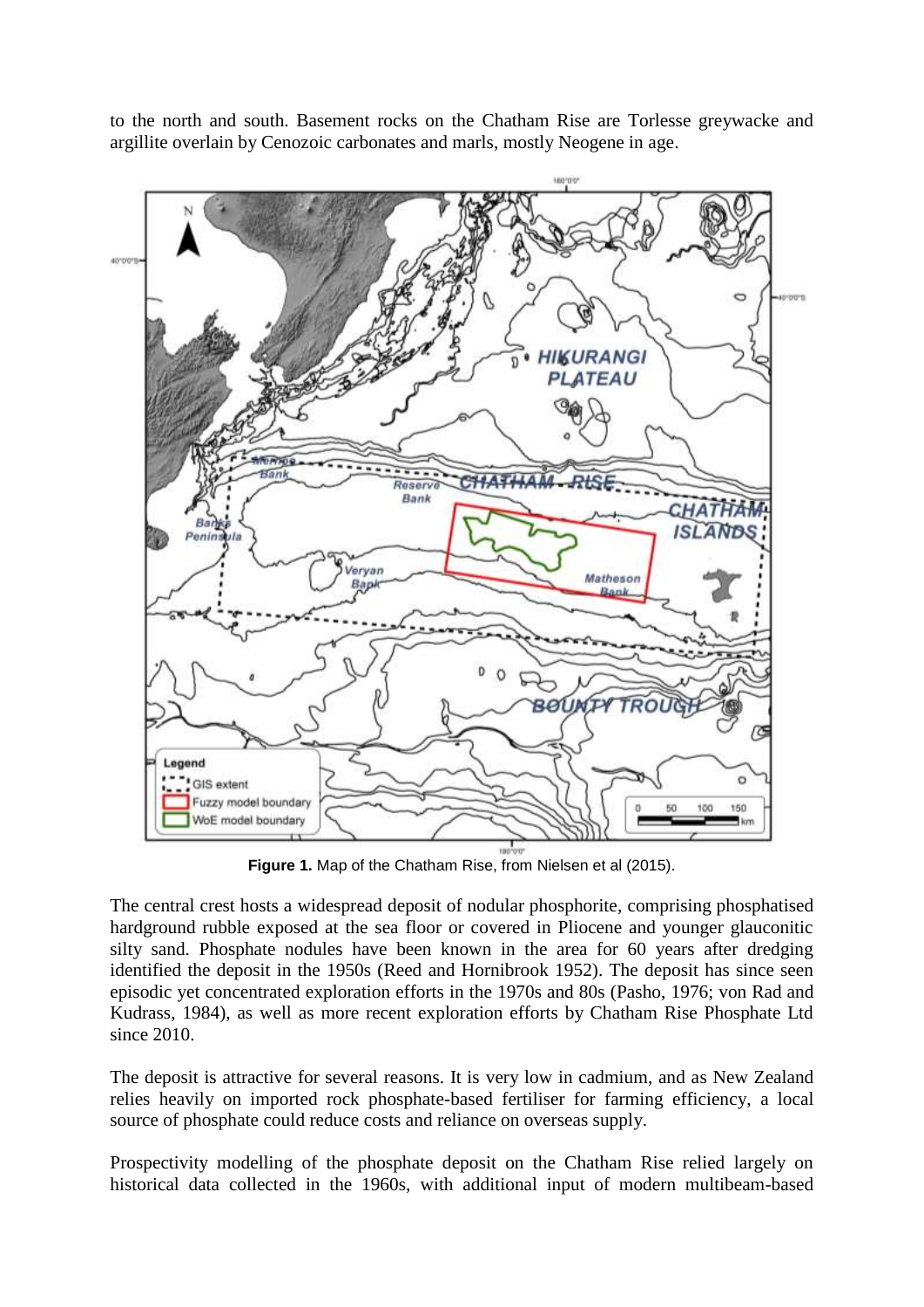to the north and south. Basement rocks on the Chatham Rise are Torlesse greywacke and argillite overlain by Cenozoic carbonates and marls, mostly Neogene in age.



**Figure 1.** Map of the Chatham Rise, from Nielsen et al (2015).

<span id="page-1-0"></span>The central crest hosts a widespread deposit of nodular phosphorite, comprising phosphatised hardground rubble exposed at the sea floor or covered in Pliocene and younger glauconitic silty sand. Phosphate nodules have been known in the area for 60 years after dredging identified the deposit in the 1950s (Reed and Hornibrook 1952). The deposit has since seen episodic yet concentrated exploration efforts in the 1970s and 80s (Pasho, 1976; von Rad and Kudrass, 1984), as well as more recent exploration efforts by Chatham Rise Phosphate Ltd since 2010.

The deposit is attractive for several reasons. It is very low in cadmium, and as New Zealand relies heavily on imported rock phosphate-based fertiliser for farming efficiency, a local source of phosphate could reduce costs and reliance on overseas supply.

Prospectivity modelling of the phosphate deposit on the Chatham Rise relied largely on historical data collected in the 1960s, with additional input of modern multibeam-based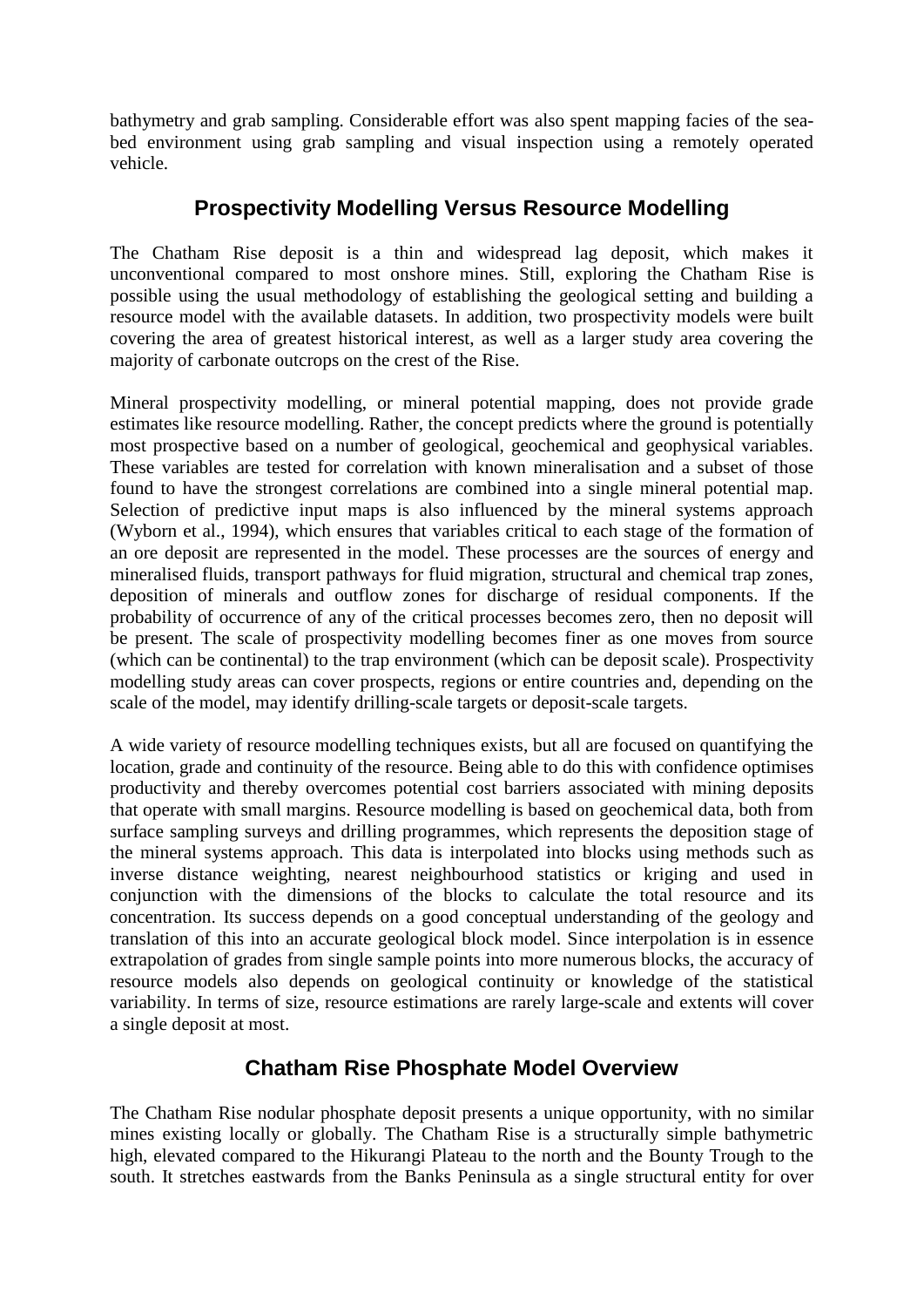bathymetry and grab sampling. Considerable effort was also spent mapping facies of the seabed environment using grab sampling and visual inspection using a remotely operated vehicle.

# **Prospectivity Modelling Versus Resource Modelling**

The Chatham Rise deposit is a thin and widespread lag deposit, which makes it unconventional compared to most onshore mines. Still, exploring the Chatham Rise is possible using the usual methodology of establishing the geological setting and building a resource model with the available datasets. In addition, two prospectivity models were built covering the area of greatest historical interest, as well as a larger study area covering the majority of carbonate outcrops on the crest of the Rise.

Mineral prospectivity modelling, or mineral potential mapping, does not provide grade estimates like resource modelling. Rather, the concept predicts where the ground is potentially most prospective based on a number of geological, geochemical and geophysical variables. These variables are tested for correlation with known mineralisation and a subset of those found to have the strongest correlations are combined into a single mineral potential map. Selection of predictive input maps is also influenced by the mineral systems approach (Wyborn et al., 1994), which ensures that variables critical to each stage of the formation of an ore deposit are represented in the model. These processes are the sources of energy and mineralised fluids, transport pathways for fluid migration, structural and chemical trap zones, deposition of minerals and outflow zones for discharge of residual components. If the probability of occurrence of any of the critical processes becomes zero, then no deposit will be present. The scale of prospectivity modelling becomes finer as one moves from source (which can be continental) to the trap environment (which can be deposit scale). Prospectivity modelling study areas can cover prospects, regions or entire countries and, depending on the scale of the model, may identify drilling-scale targets or deposit-scale targets.

A wide variety of resource modelling techniques exists, but all are focused on quantifying the location, grade and continuity of the resource. Being able to do this with confidence optimises productivity and thereby overcomes potential cost barriers associated with mining deposits that operate with small margins. Resource modelling is based on geochemical data, both from surface sampling surveys and drilling programmes, which represents the deposition stage of the mineral systems approach. This data is interpolated into blocks using methods such as inverse distance weighting, nearest neighbourhood statistics or kriging and used in conjunction with the dimensions of the blocks to calculate the total resource and its concentration. Its success depends on a good conceptual understanding of the geology and translation of this into an accurate geological block model. Since interpolation is in essence extrapolation of grades from single sample points into more numerous blocks, the accuracy of resource models also depends on geological continuity or knowledge of the statistical variability. In terms of size, resource estimations are rarely large-scale and extents will cover a single deposit at most.

# **Chatham Rise Phosphate Model Overview**

The Chatham Rise nodular phosphate deposit presents a unique opportunity, with no similar mines existing locally or globally. The Chatham Rise is a structurally simple bathymetric high, elevated compared to the Hikurangi Plateau to the north and the Bounty Trough to the south. It stretches eastwards from the Banks Peninsula as a single structural entity for over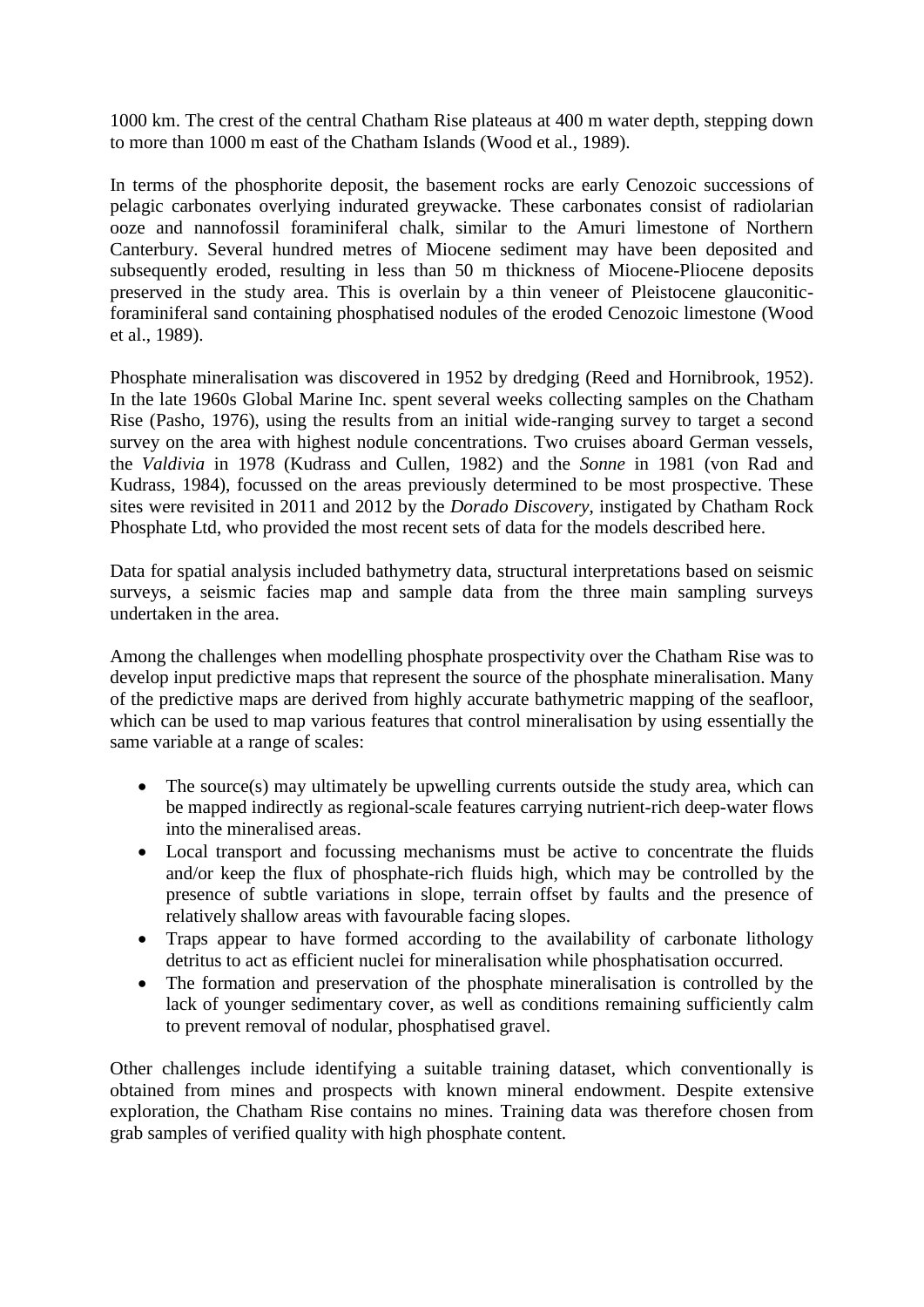1000 km. The crest of the central Chatham Rise plateaus at 400 m water depth, stepping down to more than 1000 m east of the Chatham Islands (Wood et al., 1989).

In terms of the phosphorite deposit, the basement rocks are early Cenozoic successions of pelagic carbonates overlying indurated greywacke. These carbonates consist of radiolarian ooze and nannofossil foraminiferal chalk, similar to the Amuri limestone of Northern Canterbury. Several hundred metres of Miocene sediment may have been deposited and subsequently eroded, resulting in less than 50 m thickness of Miocene-Pliocene deposits preserved in the study area. This is overlain by a thin veneer of Pleistocene glauconiticforaminiferal sand containing phosphatised nodules of the eroded Cenozoic limestone (Wood et al., 1989).

Phosphate mineralisation was discovered in 1952 by dredging (Reed and Hornibrook, 1952). In the late 1960s Global Marine Inc. spent several weeks collecting samples on the Chatham Rise (Pasho, 1976), using the results from an initial wide-ranging survey to target a second survey on the area with highest nodule concentrations. Two cruises aboard German vessels, the *Valdivia* in 1978 (Kudrass and Cullen, 1982) and the *Sonne* in 1981 (von Rad and Kudrass, 1984), focussed on the areas previously determined to be most prospective. These sites were revisited in 2011 and 2012 by the *Dorado Discovery*, instigated by Chatham Rock Phosphate Ltd, who provided the most recent sets of data for the models described here.

Data for spatial analysis included bathymetry data, structural interpretations based on seismic surveys, a seismic facies map and sample data from the three main sampling surveys undertaken in the area.

Among the challenges when modelling phosphate prospectivity over the Chatham Rise was to develop input predictive maps that represent the source of the phosphate mineralisation. Many of the predictive maps are derived from highly accurate bathymetric mapping of the seafloor, which can be used to map various features that control mineralisation by using essentially the same variable at a range of scales:

- The source(s) may ultimately be upwelling currents outside the study area, which can be mapped indirectly as regional-scale features carrying nutrient-rich deep-water flows into the mineralised areas.
- Local transport and focussing mechanisms must be active to concentrate the fluids and/or keep the flux of phosphate-rich fluids high, which may be controlled by the presence of subtle variations in slope, terrain offset by faults and the presence of relatively shallow areas with favourable facing slopes.
- Traps appear to have formed according to the availability of carbonate lithology detritus to act as efficient nuclei for mineralisation while phosphatisation occurred.
- The formation and preservation of the phosphate mineralisation is controlled by the lack of younger sedimentary cover, as well as conditions remaining sufficiently calm to prevent removal of nodular, phosphatised gravel.

Other challenges include identifying a suitable training dataset, which conventionally is obtained from mines and prospects with known mineral endowment. Despite extensive exploration, the Chatham Rise contains no mines. Training data was therefore chosen from grab samples of verified quality with high phosphate content.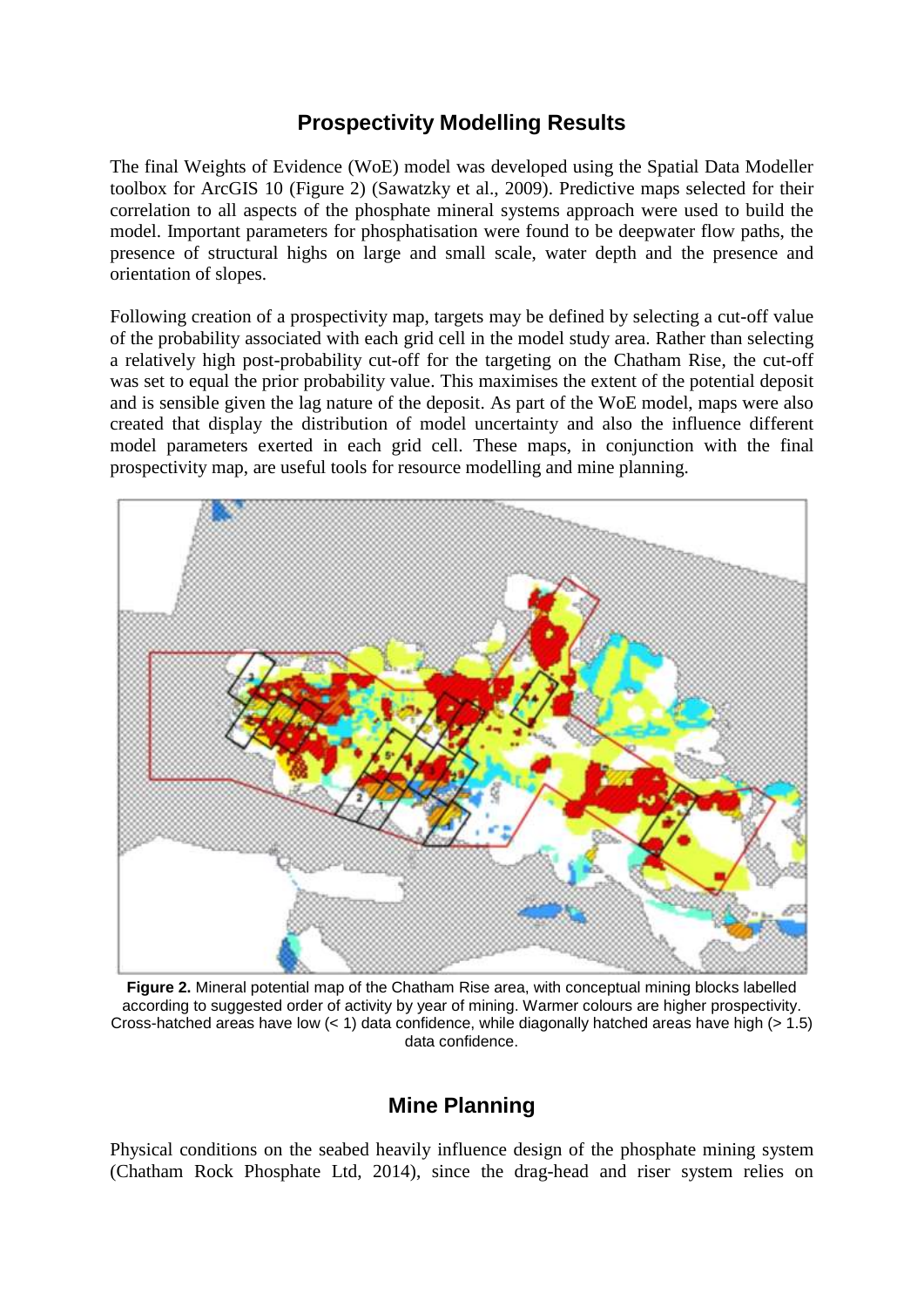# **Prospectivity Modelling Results**

The final Weights of Evidence (WoE) model was developed using the Spatial Data Modeller toolbox for ArcGIS 10 [\(Figure 2\)](#page-4-0) (Sawatzky et al., 2009). Predictive maps selected for their correlation to all aspects of the phosphate mineral systems approach were used to build the model. Important parameters for phosphatisation were found to be deepwater flow paths, the presence of structural highs on large and small scale, water depth and the presence and orientation of slopes.

Following creation of a prospectivity map, targets may be defined by selecting a cut-off value of the probability associated with each grid cell in the model study area. Rather than selecting a relatively high post-probability cut-off for the targeting on the Chatham Rise, the cut-off was set to equal the prior probability value. This maximises the extent of the potential deposit and is sensible given the lag nature of the deposit. As part of the WoE model, maps were also created that display the distribution of model uncertainty and also the influence different model parameters exerted in each grid cell. These maps, in conjunction with the final prospectivity map, are useful tools for resource modelling and mine planning.



**Figure 2.** Mineral potential map of the Chatham Rise area, with conceptual mining blocks labelled according to suggested order of activity by year of mining. Warmer colours are higher prospectivity. Cross-hatched areas have low  $(< 1)$  data confidence, while diagonally hatched areas have high  $(> 1.5)$ data confidence.

## **Mine Planning**

<span id="page-4-0"></span>Physical conditions on the seabed heavily influence design of the phosphate mining system (Chatham Rock Phosphate Ltd, 2014), since the drag-head and riser system relies on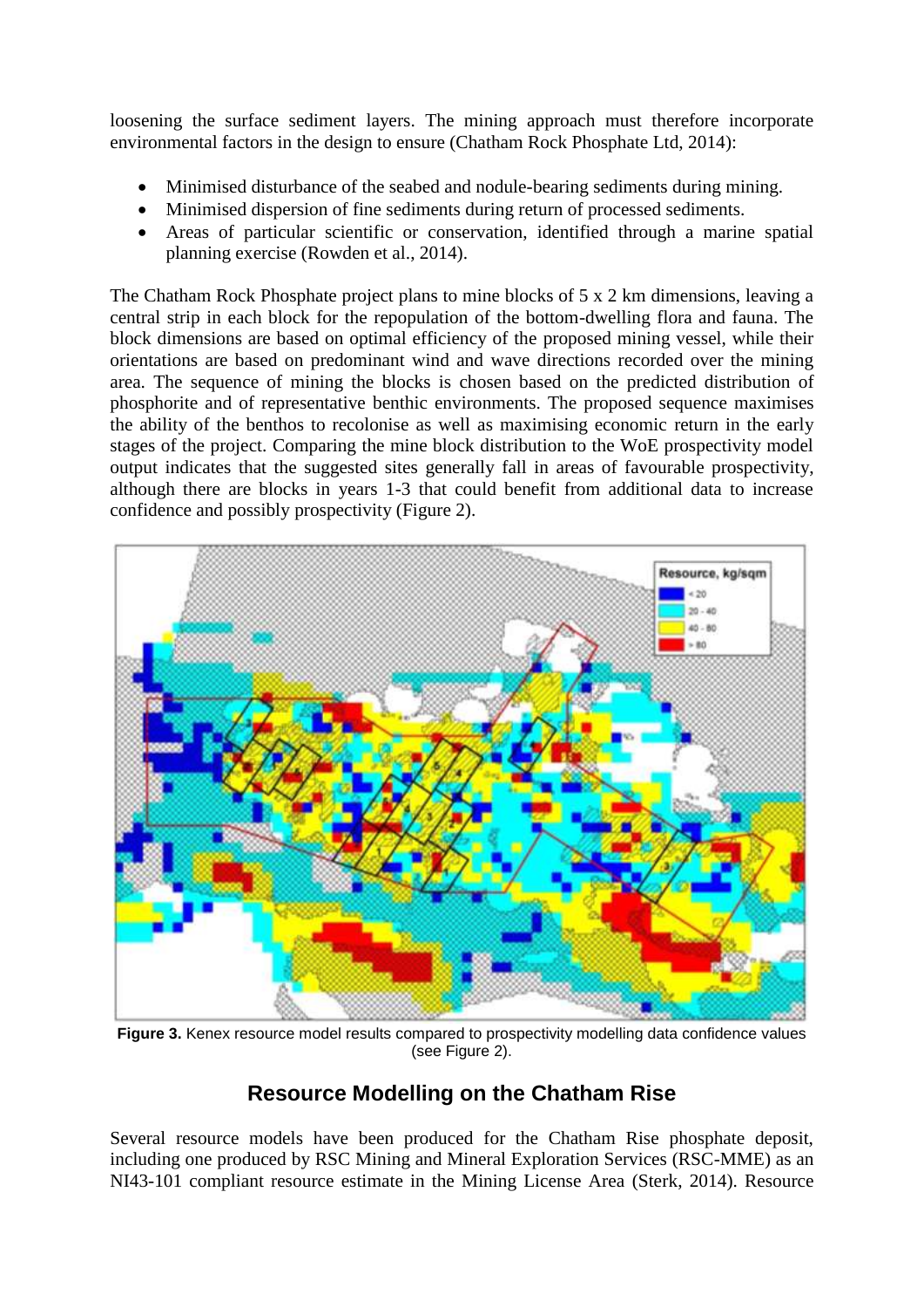loosening the surface sediment layers. The mining approach must therefore incorporate environmental factors in the design to ensure (Chatham Rock Phosphate Ltd, 2014):

- Minimised disturbance of the seabed and nodule-bearing sediments during mining.
- Minimised dispersion of fine sediments during return of processed sediments.
- Areas of particular scientific or conservation, identified through a marine spatial planning exercise (Rowden et al., 2014).

The Chatham Rock Phosphate project plans to mine blocks of 5 x 2 km dimensions, leaving a central strip in each block for the repopulation of the bottom-dwelling flora and fauna. The block dimensions are based on optimal efficiency of the proposed mining vessel, while their orientations are based on predominant wind and wave directions recorded over the mining area. The sequence of mining the blocks is chosen based on the predicted distribution of phosphorite and of representative benthic environments. The proposed sequence maximises the ability of the benthos to recolonise as well as maximising economic return in the early stages of the project. Comparing the mine block distribution to the WoE prospectivity model output indicates that the suggested sites generally fall in areas of favourable prospectivity, although there are blocks in years 1-3 that could benefit from additional data to increase confidence and possibly prospectivity (Figure 2).



<span id="page-5-0"></span>Figure 3. Kenex resource model results compared to prospectivity modelling data confidence values (see Figure 2).

# **Resource Modelling on the Chatham Rise**

Several resource models have been produced for the Chatham Rise phosphate deposit, including one produced by RSC Mining and Mineral Exploration Services (RSC-MME) as an NI43-101 compliant resource estimate in the Mining License Area (Sterk, 2014). Resource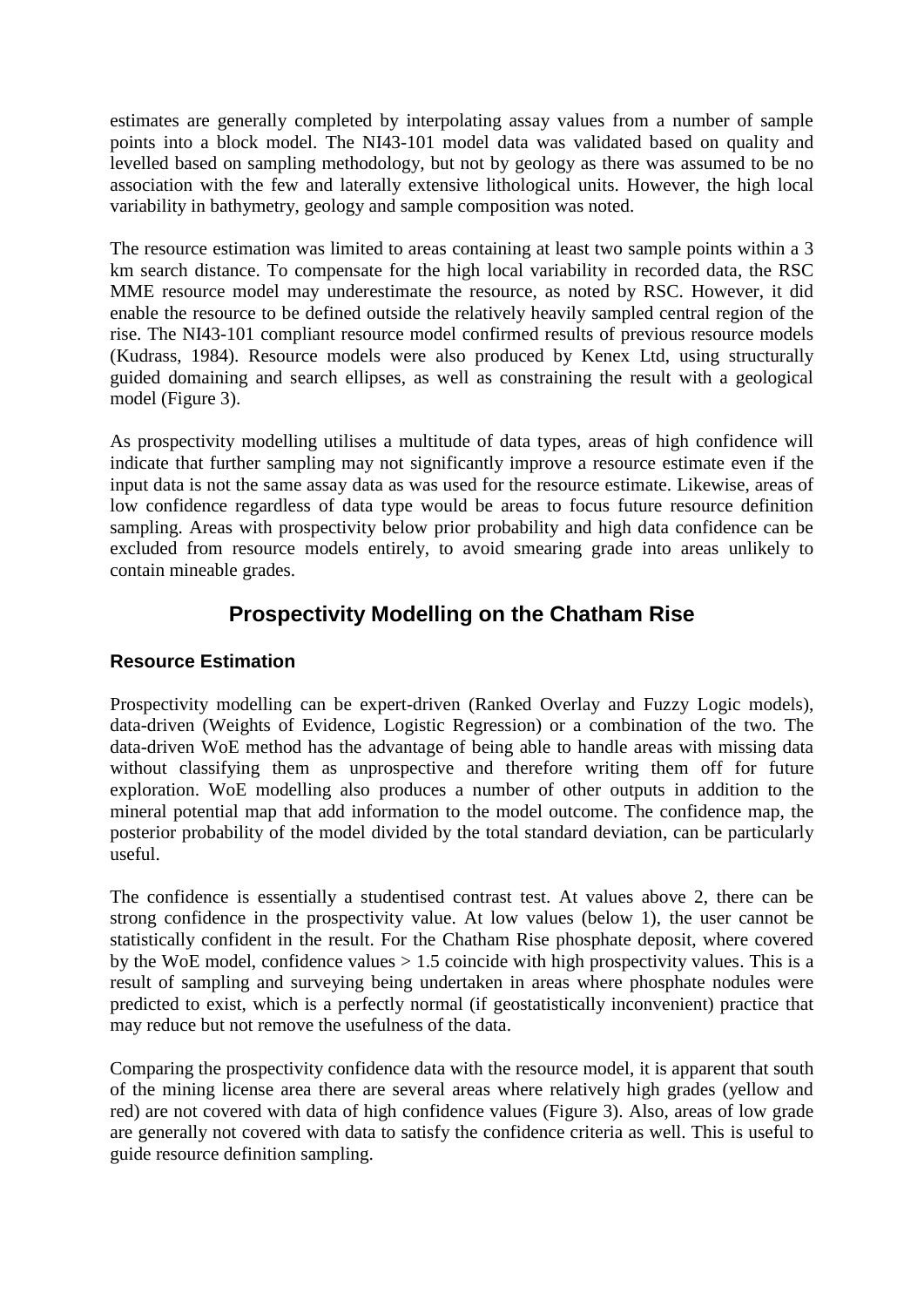estimates are generally completed by interpolating assay values from a number of sample points into a block model. The NI43-101 model data was validated based on quality and levelled based on sampling methodology, but not by geology as there was assumed to be no association with the few and laterally extensive lithological units. However, the high local variability in bathymetry, geology and sample composition was noted.

The resource estimation was limited to areas containing at least two sample points within a 3 km search distance. To compensate for the high local variability in recorded data, the RSC MME resource model may underestimate the resource, as noted by RSC. However, it did enable the resource to be defined outside the relatively heavily sampled central region of the rise. The NI43-101 compliant resource model confirmed results of previous resource models (Kudrass, 1984). Resource models were also produced by Kenex Ltd, using structurally guided domaining and search ellipses, as well as constraining the result with a geological model [\(Figure 3\)](#page-5-0).

As prospectivity modelling utilises a multitude of data types, areas of high confidence will indicate that further sampling may not significantly improve a resource estimate even if the input data is not the same assay data as was used for the resource estimate. Likewise, areas of low confidence regardless of data type would be areas to focus future resource definition sampling. Areas with prospectivity below prior probability and high data confidence can be excluded from resource models entirely, to avoid smearing grade into areas unlikely to contain mineable grades.

# **Prospectivity Modelling on the Chatham Rise**

### **Resource Estimation**

Prospectivity modelling can be expert-driven (Ranked Overlay and Fuzzy Logic models), data-driven (Weights of Evidence, Logistic Regression) or a combination of the two. The data-driven WoE method has the advantage of being able to handle areas with missing data without classifying them as unprospective and therefore writing them off for future exploration. WoE modelling also produces a number of other outputs in addition to the mineral potential map that add information to the model outcome. The confidence map, the posterior probability of the model divided by the total standard deviation, can be particularly useful.

The confidence is essentially a studentised contrast test. At values above 2, there can be strong confidence in the prospectivity value. At low values (below 1), the user cannot be statistically confident in the result. For the Chatham Rise phosphate deposit, where covered by the WoE model, confidence values  $> 1.5$  coincide with high prospectivity values. This is a result of sampling and surveying being undertaken in areas where phosphate nodules were predicted to exist, which is a perfectly normal (if geostatistically inconvenient) practice that may reduce but not remove the usefulness of the data.

Comparing the prospectivity confidence data with the resource model, it is apparent that south of the mining license area there are several areas where relatively high grades (yellow and red) are not covered with data of high confidence values (Figure 3). Also, areas of low grade are generally not covered with data to satisfy the confidence criteria as well. This is useful to guide resource definition sampling.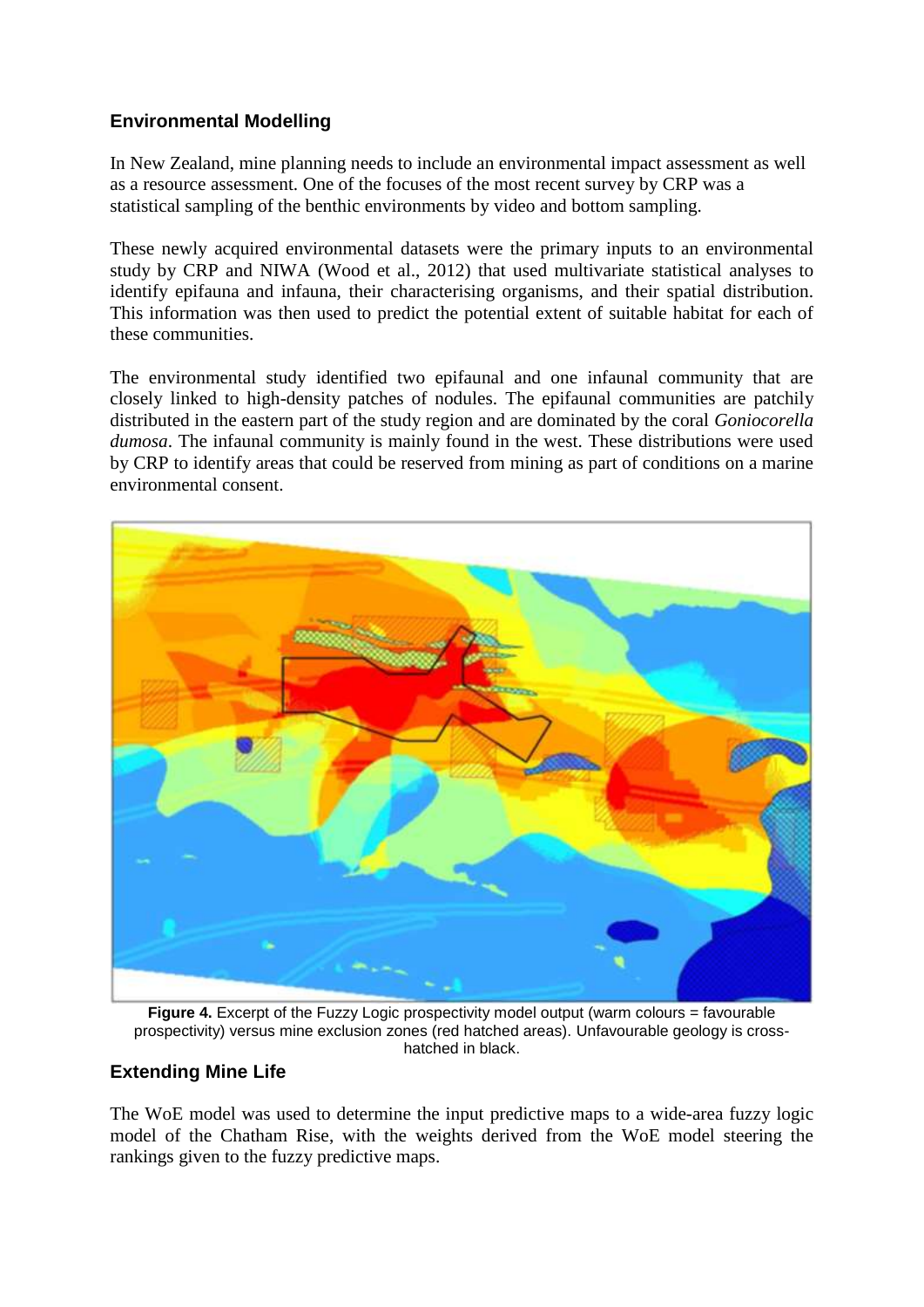### **Environmental Modelling**

In New Zealand, mine planning needs to include an environmental impact assessment as well as a resource assessment. One of the focuses of the most recent survey by CRP was a statistical sampling of the benthic environments by video and bottom sampling.

These newly acquired environmental datasets were the primary inputs to an environmental study by CRP and NIWA (Wood et al., 2012) that used multivariate statistical analyses to identify epifauna and infauna, their characterising organisms, and their spatial distribution. This information was then used to predict the potential extent of suitable habitat for each of these communities.

The environmental study identified two epifaunal and one infaunal community that are closely linked to high-density patches of nodules. The epifaunal communities are patchily distributed in the eastern part of the study region and are dominated by the coral *Goniocorella dumosa*. The infaunal community is mainly found in the west. These distributions were used by CRP to identify areas that could be reserved from mining as part of conditions on a marine environmental consent.



**Figure 4.** Excerpt of the Fuzzy Logic prospectivity model output (warm colours = favourable prospectivity) versus mine exclusion zones (red hatched areas). Unfavourable geology is crosshatched in black.

### <span id="page-7-0"></span>**Extending Mine Life**

The WoE model was used to determine the input predictive maps to a wide-area fuzzy logic model of the Chatham Rise, with the weights derived from the WoE model steering the rankings given to the fuzzy predictive maps.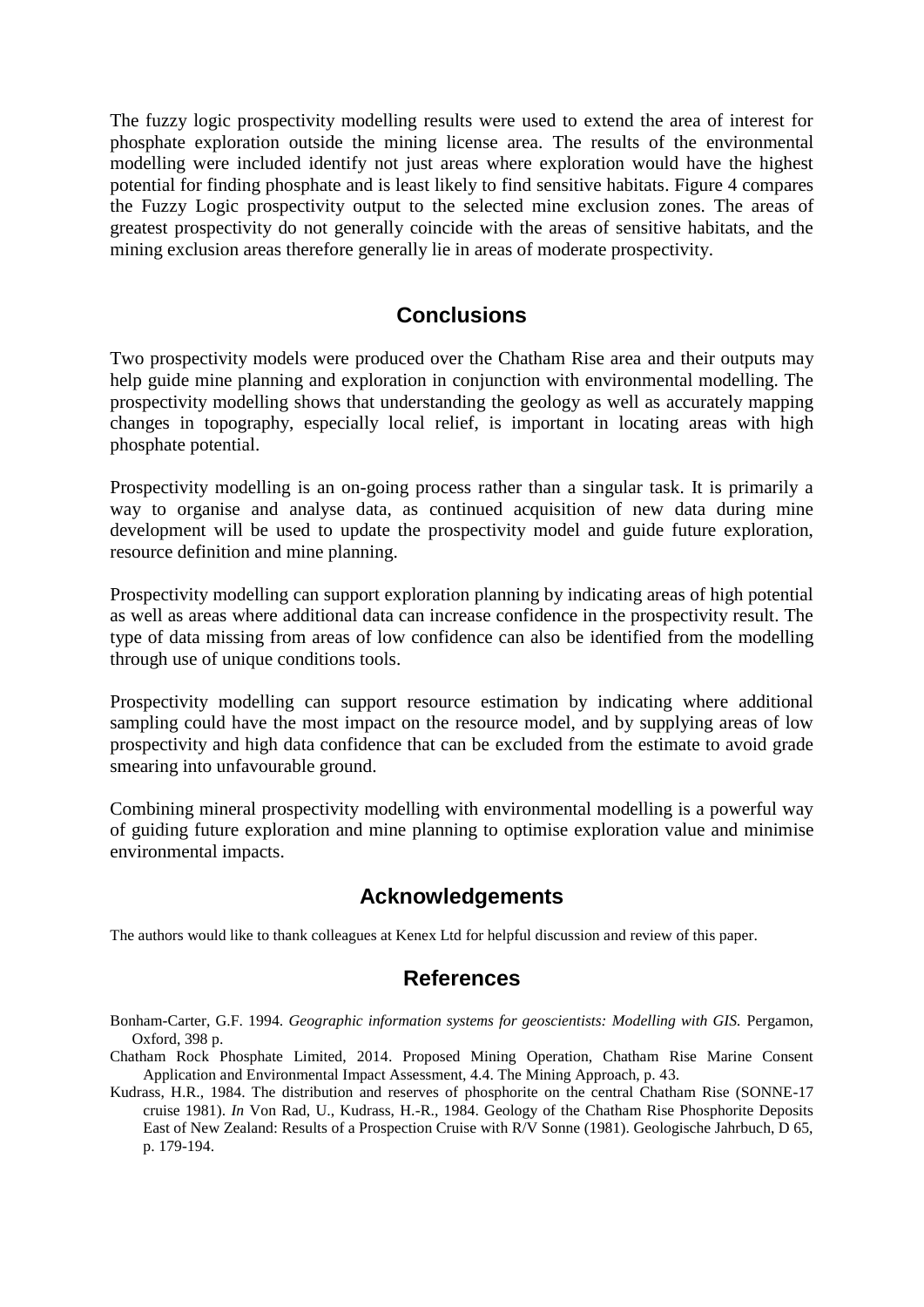The fuzzy logic prospectivity modelling results were used to extend the area of interest for phosphate exploration outside the mining license area. The results of the environmental modelling were included identify not just areas where exploration would have the highest potential for finding phosphate and is least likely to find sensitive habitats. [Figure 4](#page-7-0) compares the Fuzzy Logic prospectivity output to the selected mine exclusion zones. The areas of greatest prospectivity do not generally coincide with the areas of sensitive habitats, and the mining exclusion areas therefore generally lie in areas of moderate prospectivity.

## **Conclusions**

Two prospectivity models were produced over the Chatham Rise area and their outputs may help guide mine planning and exploration in conjunction with environmental modelling. The prospectivity modelling shows that understanding the geology as well as accurately mapping changes in topography, especially local relief, is important in locating areas with high phosphate potential.

Prospectivity modelling is an on-going process rather than a singular task. It is primarily a way to organise and analyse data, as continued acquisition of new data during mine development will be used to update the prospectivity model and guide future exploration, resource definition and mine planning.

Prospectivity modelling can support exploration planning by indicating areas of high potential as well as areas where additional data can increase confidence in the prospectivity result. The type of data missing from areas of low confidence can also be identified from the modelling through use of unique conditions tools.

Prospectivity modelling can support resource estimation by indicating where additional sampling could have the most impact on the resource model, and by supplying areas of low prospectivity and high data confidence that can be excluded from the estimate to avoid grade smearing into unfavourable ground.

Combining mineral prospectivity modelling with environmental modelling is a powerful way of guiding future exploration and mine planning to optimise exploration value and minimise environmental impacts.

## **Acknowledgements**

The authors would like to thank colleagues at Kenex Ltd for helpful discussion and review of this paper.

#### **References**

- Bonham-Carter, G.F. 1994. *Geographic information systems for geoscientists: Modelling with GIS.* Pergamon, Oxford, 398 p.
- Chatham Rock Phosphate Limited, 2014. Proposed Mining Operation, Chatham Rise Marine Consent Application and Environmental Impact Assessment, 4.4. The Mining Approach, p. 43.
- Kudrass, H.R., 1984. The distribution and reserves of phosphorite on the central Chatham Rise (SONNE-17 cruise 1981). *In* Von Rad, U., Kudrass, H.-R., 1984. Geology of the Chatham Rise Phosphorite Deposits East of New Zealand: Results of a Prospection Cruise with R/V Sonne (1981). Geologische Jahrbuch, D 65, p. 179-194.